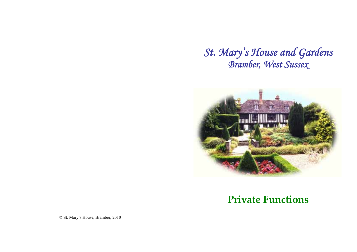*St. Mary's House and Gardens Bramber, West Sussex* 



## **Private Functions**

© St. Mary's House, Bramber, 2010